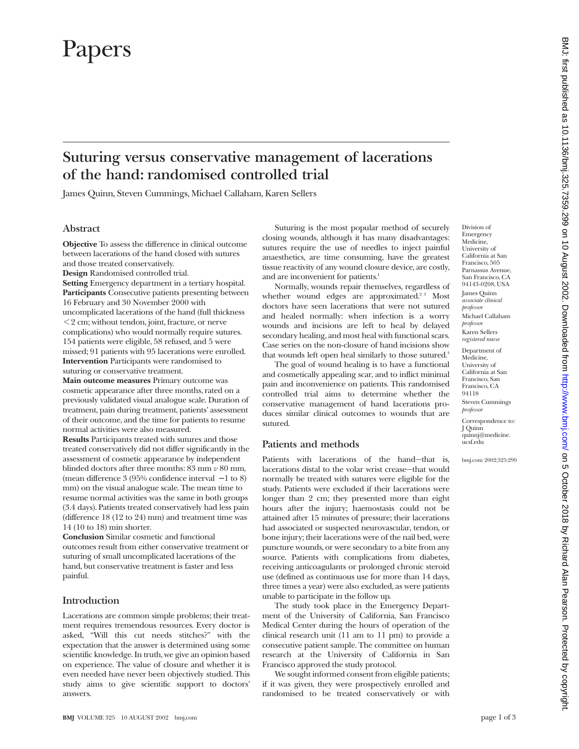# Papers

## **Suturing versus conservative management of lacerations of the hand: randomised controlled trial**

James Quinn, Steven Cummings, Michael Callaham, Karen Sellers

### **Abstract**

**Objective** To assess the difference in clinical outcome between lacerations of the hand closed with sutures and those treated conservatively.

**Design** Randomised controlled trial.

**Setting** Emergency department in a tertiary hospital. **Participants** Consecutive patients presenting between 16 February and 30 November 2000 with uncomplicated lacerations of the hand (full thickness < 2 cm; without tendon, joint, fracture, or nerve complications) who would normally require sutures. 154 patients were eligible, 58 refused, and 5 were missed; 91 patients with 95 lacerations were enrolled. **Intervention** Participants were randomised to suturing or conservative treatment.

**Main outcome measures** Primary outcome was cosmetic appearance after three months, rated on a previously validated visual analogue scale. Duration of treatment, pain during treatment, patients' assessment of their outcome, and the time for patients to resume normal activities were also measured.

**Results** Participants treated with sutures and those treated conservatively did not differ significantly in the assessment of cosmetic appearance by independent blinded doctors after three months: 83 mm *v* 80 mm, (mean difference 3 (95% confidence interval − 1 to 8) mm) on the visual analogue scale. The mean time to resume normal activities was the same in both groups (3.4 days). Patients treated conservatively had less pain (difference 18 (12 to 24) mm) and treatment time was 14 (10 to 18) min shorter.

**Conclusion** Similar cosmetic and functional outcomes result from either conservative treatment or suturing of small uncomplicated lacerations of the hand, but conservative treatment is faster and less painful.

#### **Introduction**

Lacerations are common simple problems; their treatment requires tremendous resources. Every doctor is asked, "Will this cut needs stitches?" with the expectation that the answer is determined using some scientific knowledge. In truth, we give an opinion based on experience. The value of closure and whether it is even needed have never been objectively studied. This study aims to give scientific support to doctors' answers.

Suturing is the most popular method of securely closing wounds, although it has many disadvantages: sutures require the use of needles to inject painful anaesthetics, are time consuming, have the greatest tissue reactivity of any wound closure device, are costly, and are inconvenient for patients.<sup>1</sup>

Normally, wounds repair themselves, regardless of whether wound edges are approximated.<sup>23</sup> Most doctors have seen lacerations that were not sutured and healed normally: when infection is a worry wounds and incisions are left to heal by delayed secondary healing, and most heal with functional scars. Case series on the non-closure of hand incisions show that wounds left open heal similarly to those sutured.<sup>4</sup>

The goal of wound healing is to have a functional and cosmetically appealing scar, and to inflict minimal pain and inconvenience on patients. This randomised controlled trial aims to determine whether the conservative management of hand lacerations produces similar clinical outcomes to wounds that are sutured.

#### **Patients and methods**

Patients with lacerations of the hand—that is, lacerations distal to the volar wrist crease—that would normally be treated with sutures were eligible for the study. Patients were excluded if their lacerations were longer than 2 cm; they presented more than eight hours after the injury; haemostasis could not be attained after 15 minutes of pressure; their lacerations had associated or suspected neurovascular, tendon, or bone injury; their lacerations were of the nail bed, were puncture wounds, or were secondary to a bite from any source. Patients with complications from diabetes, receiving anticoagulants or prolonged chronic steroid use (defined as continuous use for more than 14 days, three times a year) were also excluded, as were patients unable to participate in the follow up.

The study took place in the Emergency Department of the University of California, San Francisco Medical Center during the hours of operation of the clinical research unit (11 am to 11 pm) to provide a consecutive patient sample. The committee on human research at the University of California in San Francisco approved the study protocol.

We sought informed consent from eligible patients; if it was given, they were prospectively enrolled and randomised to be treated conservatively or with

Division of Emergency Medicine, University of California at San Francisco, 505 Parnassus Avenue, San Francisco, CA 94143-0208, USA James Quinn *associate clinical professor* Michael Callaham *professor* Karen Sellers *registered nurse*

Department of Medicine, University of California at San Francisco, San Francisco, CA 94118 Steven Cummings *professor*

Correspondence to: J Quinn quinnj@medicine. ucsf.edu

bmj.com 2002;325:299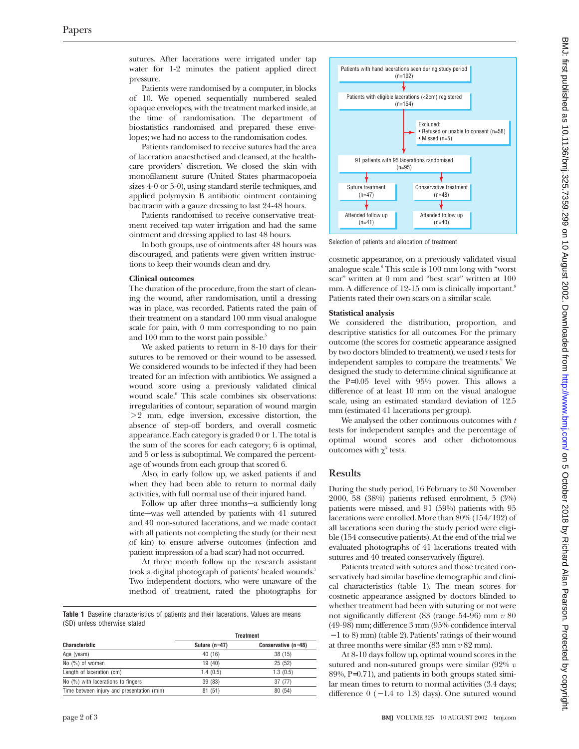sutures. After lacerations were irrigated under tap water for 1-2 minutes the patient applied direct pressure.

Patients were randomised by a computer, in blocks of 10. We opened sequentially numbered sealed opaque envelopes, with the treatment marked inside, at the time of randomisation. The department of biostatistics randomised and prepared these envelopes; we had no access to the randomisation codes.

Patients randomised to receive sutures had the area of laceration anaesthetised and cleansed, at the healthcare providers' discretion. We closed the skin with monofilament suture (United States pharmacopoeia sizes 4-0 or 5-0), using standard sterile techniques, and applied polymyxin B antibiotic ointment containing bacitracin with a gauze dressing to last 24-48 hours.

Patients randomised to receive conservative treatment received tap water irrigation and had the same ointment and dressing applied to last 48 hours.

In both groups, use of ointments after 48 hours was discouraged, and patients were given written instructions to keep their wounds clean and dry.

**Clinical outcomes** The duration of the procedure, from the start of cleaning the wound, after randomisation, until a dressing was in place, was recorded. Patients rated the pain of their treatment on a standard 100 mm visual analogue scale for pain, with 0 mm corresponding to no pain and 100 mm to the worst pain possible.<sup>5</sup>

We asked patients to return in 8-10 days for their sutures to be removed or their wound to be assessed. We considered wounds to be infected if they had been treated for an infection with antibiotics. We assigned a wound score using a previously validated clinical wound scale.<sup>6</sup> This scale combines six observations: irregularities of contour, separation of wound margin  $> 2$  mm, edge inversion, excessive distortion, the absence of step-off borders, and overall cosmetic appearance. Each category is graded 0 or 1. The total is the sum of the scores for each category; 6 is optimal, and 5 or less is suboptimal. We compared the percentage of wounds from each group that scored 6.

Also, in early follow up, we asked patients if and when they had been able to return to normal daily activities, with full normal use of their injured hand.

Follow up after three months—a sufficiently long time—was well attended by patients with 41 sutured and 40 non-sutured lacerations, and we made contact with all patients not completing the study (or their next of kin) to ensure adverse outcomes (infection and patient impression of a bad scar) had not occurred.

At three month follow up the research assistant took a digital photograph of patients' healed wounds.<sup>7</sup> Two independent doctors, who were unaware of the method of treatment, rated the photographs for

**Table 1** Baseline characteristics of patients and their lacerations. Values are means (SD) unless otherwise stated

| <b>Characteristic</b>                      | <b>Treatment</b> |                       |
|--------------------------------------------|------------------|-----------------------|
|                                            | Suture $(n=47)$  | Conservative $(n=48)$ |
| Age (years)                                | 40 (16)          | 38 (15)               |
| No (%) of women                            | 19 (40)          | 25(52)                |
| Length of laceration (cm)                  | 1.4(0.5)         | 1.3(0.5)              |
| No (%) with lacerations to fingers         | 39 (83)          | 37 (77)               |
| Time between injury and presentation (min) | 81(51)           | 80 (54)               |



Selection of patients and allocation of treatment

cosmetic appearance, on a previously validated visual analogue scale.8 This scale is 100 mm long with "worst scar" written at 0 mm and "best scar" written at 100 mm. A difference of  $12-15$  mm is clinically important.<sup>8</sup> Patients rated their own scars on a similar scale.

#### **Statistical analysis**

We considered the distribution, proportion, and descriptive statistics for all outcomes. For the primary outcome (the scores for cosmetic appearance assigned by two doctors blinded to treatment), we used *t* tests for independent samples to compare the treatments.<sup>9</sup> We designed the study to determine clinical significance at the P=0.05 level with 95% power. This allows a difference of at least 10 mm on the visual analogue scale, using an estimated standard deviation of 12.5 mm (estimated 41 lacerations per group).

We analysed the other continuous outcomes with *t* tests for independent samples and the percentage of optimal wound scores and other dichotomous outcomes with  $\chi^2$  tests.

#### **Results**

During the study period, 16 February to 30 November 2000, 58 (38%) patients refused enrolment, 5 (3%) patients were missed, and 91 (59%) patients with 95 lacerations were enrolled. More than 80% (154/192) of all lacerations seen during the study period were eligible (154 consecutive patients). At the end of the trial we evaluated photographs of 41 lacerations treated with sutures and 40 treated conservatively (figure).

Patients treated with sutures and those treated conservatively had similar baseline demographic and clinical characteristics (table 1). The mean scores for cosmetic appearance assigned by doctors blinded to whether treatment had been with suturing or not were not significantly different (83 (range 54-96) mm *v* 80 (49-98) mm; difference 3 mm (95% confidence interval − 1 to 8) mm) (table 2). Patients' ratings of their wound at three months were similar (83 mm *v* 82 mm).

At 8-10 days follow up, optimal wound scores in the sutured and non-sutured groups were similar (92% *v* 89%, P=0.71), and patients in both groups stated similar mean times to return to normal activities (3.4 days; difference  $0$  ( $-1.4$  to 1.3) days). One sutured wound